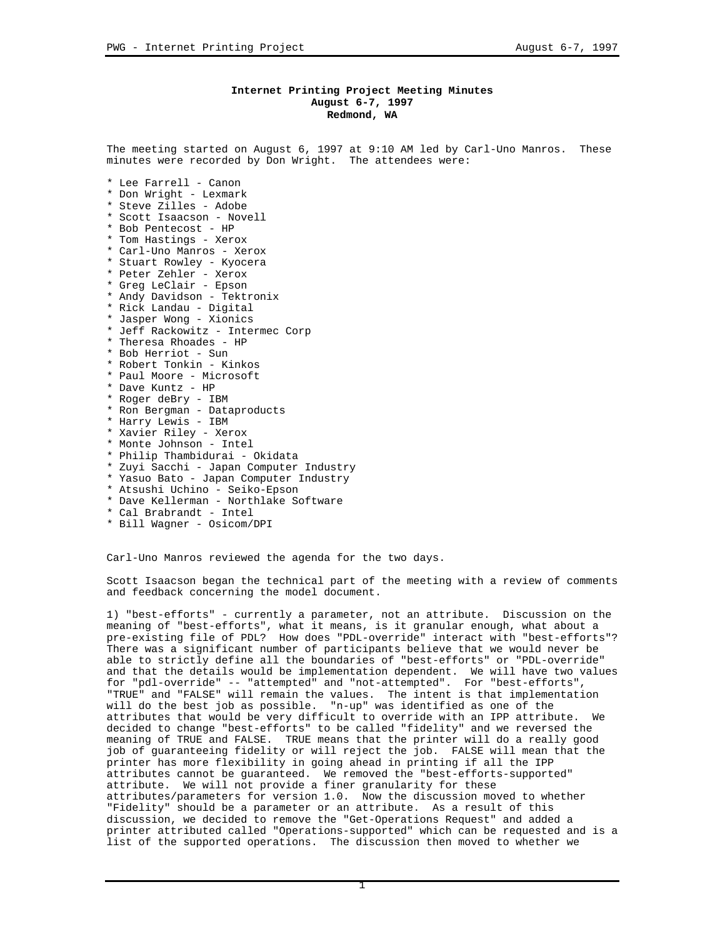## **Internet Printing Project Meeting Minutes August 6-7, 1997 Redmond, WA**

The meeting started on August 6, 1997 at 9:10 AM led by Carl-Uno Manros. These minutes were recorded by Don Wright. The attendees were:

- \* Lee Farrell Canon \* Don Wright - Lexmark \* Steve Zilles - Adobe \* Scott Isaacson - Novell \* Bob Pentecost - HP
- \* Tom Hastings Xerox
- \* Carl-Uno Manros Xerox
- \* Stuart Rowley Kyocera
- \* Peter Zehler Xerox
- \* Greg LeClair Epson
- \* Andy Davidson Tektronix
- \* Rick Landau Digital
- \* Jasper Wong Xionics \* Jeff Rackowitz - Intermec Corp
- \* Theresa Rhoades HP
- \* Bob Herriot Sun
- \* Robert Tonkin Kinkos
- \* Paul Moore Microsoft
- \* Dave Kuntz HP
- \* Roger deBry IBM
- \* Ron Bergman Dataproducts
- \* Harry Lewis IBM
- \* Xavier Riley Xerox
- \* Monte Johnson Intel
- \* Philip Thambidurai Okidata
- \* Zuyi Sacchi Japan Computer Industry
- \* Yasuo Bato Japan Computer Industry
- \* Atsushi Uchino Seiko-Epson
- \* Dave Kellerman Northlake Software
- \* Cal Brabrandt Intel
- \* Bill Wagner Osicom/DPI

Carl-Uno Manros reviewed the agenda for the two days.

Scott Isaacson began the technical part of the meeting with a review of comments and feedback concerning the model document.

1) "best-efforts" - currently a parameter, not an attribute. Discussion on the meaning of "best-efforts", what it means, is it granular enough, what about a pre-existing file of PDL? How does "PDL-override" interact with "best-efforts"? There was a significant number of participants believe that we would never be able to strictly define all the boundaries of "best-efforts" or "PDL-override" and that the details would be implementation dependent. We will have two values for "pdl-override" -- "attempted" and "not-attempted". For "best-efforts", "TRUE" and "FALSE" will remain the values. The intent is that implementation will do the best job as possible. "n-up" was identified as one of the attributes that would be very difficult to override with an IPP attribute. We decided to change "best-efforts" to be called "fidelity" and we reversed the meaning of TRUE and FALSE. TRUE means that the printer will do a really good job of guaranteeing fidelity or will reject the job. FALSE will mean that the printer has more flexibility in going ahead in printing if all the IPP attributes cannot be guaranteed. We removed the "best-efforts-supported" attribute. We will not provide a finer granularity for these attributes/parameters for version 1.0. Now the discussion moved to whether "Fidelity" should be a parameter or an attribute. As a result of this discussion, we decided to remove the "Get-Operations Request" and added a printer attributed called "Operations-supported" which can be requested and is a list of the supported operations. The discussion then moved to whether we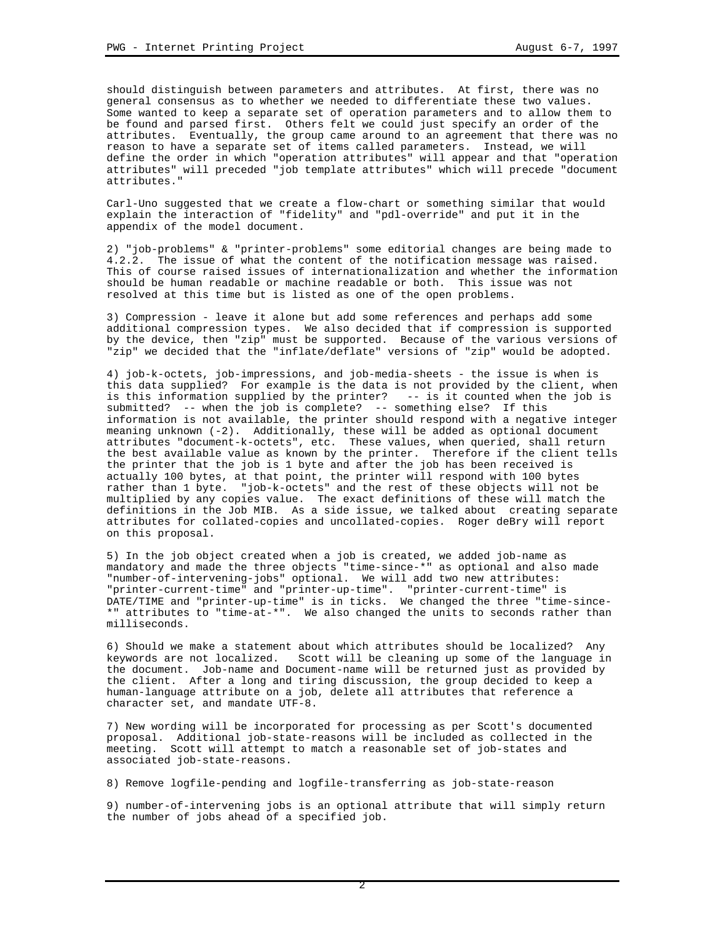should distinguish between parameters and attributes. At first, there was no general consensus as to whether we needed to differentiate these two values. Some wanted to keep a separate set of operation parameters and to allow them to be found and parsed first. Others felt we could just specify an order of the attributes. Eventually, the group came around to an agreement that there was no reason to have a separate set of items called parameters. Instead, we will define the order in which "operation attributes" will appear and that "operation attributes" will preceded "job template attributes" which will precede "document attributes."

Carl-Uno suggested that we create a flow-chart or something similar that would explain the interaction of "fidelity" and "pdl-override" and put it in the appendix of the model document.

2) "job-problems" & "printer-problems" some editorial changes are being made to 4.2.2. The issue of what the content of the notification message was raised. This of course raised issues of internationalization and whether the information should be human readable or machine readable or both. This issue was not resolved at this time but is listed as one of the open problems.

3) Compression - leave it alone but add some references and perhaps add some additional compression types. We also decided that if compression is supported by the device, then "zip" must be supported. Because of the various versions of "zip" we decided that the "inflate/deflate" versions of "zip" would be adopted.

4) job-k-octets, job-impressions, and job-media-sheets - the issue is when is this data supplied? For example is the data is not provided by the client, when is this information supplied by the printer? -- is it counted when the job is submitted? -- when the job is complete? -- something else? If this information is not available, the printer should respond with a negative integer meaning unknown (-2). Additionally, these will be added as optional document attributes "document-k-octets", etc. These values, when queried, shall return the best available value as known by the printer. Therefore if the client tells the printer that the job is 1 byte and after the job has been received is actually 100 bytes, at that point, the printer will respond with 100 bytes rather than 1 byte. "job-k-octets" and the rest of these objects will not be multiplied by any copies value. The exact definitions of these will match the definitions in the Job MIB. As a side issue, we talked about creating separate attributes for collated-copies and uncollated-copies. Roger deBry will report on this proposal.

5) In the job object created when a job is created, we added job-name as mandatory and made the three objects "time-since-\*" as optional and also made "number-of-intervening-jobs" optional. We will add two new attributes: "printer-current-time" and "printer-up-time". "printer-current-time" is DATE/TIME and "printer-up-time" is in ticks. We changed the three "time-since- \*" attributes to "time-at-\*". We also changed the units to seconds rather than milliseconds.

6) Should we make a statement about which attributes should be localized? Any keywords are not localized. Scott will be cleaning up some of the language in the document. Job-name and Document-name will be returned just as provided by the client. After a long and tiring discussion, the group decided to keep a human-language attribute on a job, delete all attributes that reference a character set, and mandate UTF-8.

7) New wording will be incorporated for processing as per Scott's documented proposal. Additional job-state-reasons will be included as collected in the meeting. Scott will attempt to match a reasonable set of job-states and associated job-state-reasons.

8) Remove logfile-pending and logfile-transferring as job-state-reason

9) number-of-intervening jobs is an optional attribute that will simply return the number of jobs ahead of a specified job.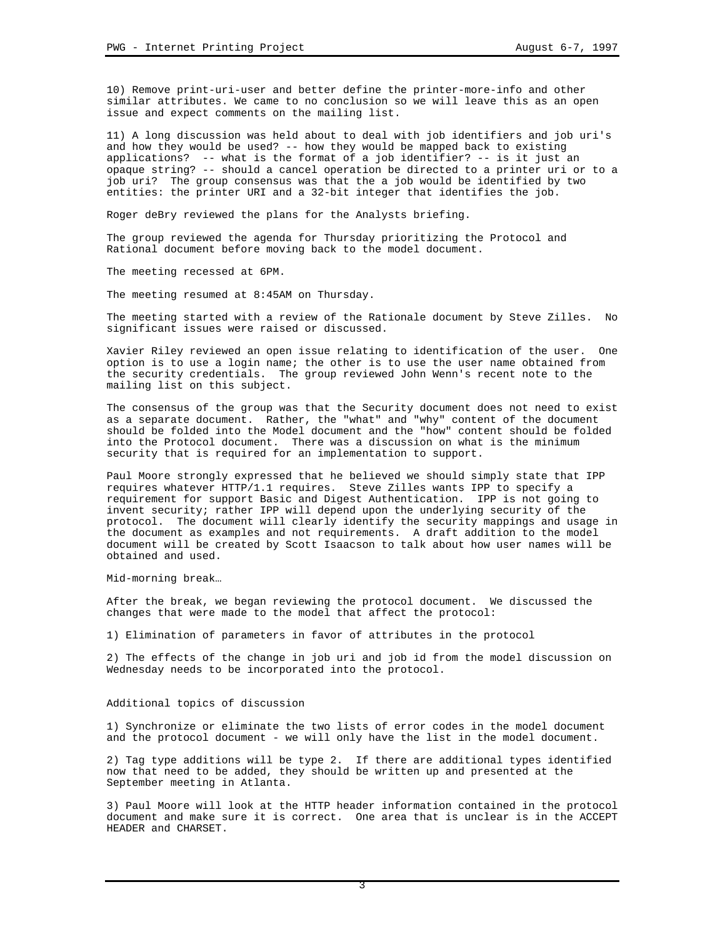10) Remove print-uri-user and better define the printer-more-info and other similar attributes. We came to no conclusion so we will leave this as an open issue and expect comments on the mailing list.

11) A long discussion was held about to deal with job identifiers and job uri's and how they would be used? -- how they would be mapped back to existing applications? -- what is the format of a job identifier? -- is it just an opaque string? -- should a cancel operation be directed to a printer uri or to a job uri? The group consensus was that the a job would be identified by two entities: the printer URI and a 32-bit integer that identifies the job.

Roger deBry reviewed the plans for the Analysts briefing.

The group reviewed the agenda for Thursday prioritizing the Protocol and Rational document before moving back to the model document.

The meeting recessed at 6PM.

The meeting resumed at 8:45AM on Thursday.

The meeting started with a review of the Rationale document by Steve Zilles. No significant issues were raised or discussed.

Xavier Riley reviewed an open issue relating to identification of the user. One option is to use a login name; the other is to use the user name obtained from the security credentials. The group reviewed John Wenn's recent note to the mailing list on this subject.

The consensus of the group was that the Security document does not need to exist as a separate document. Rather, the "what" and "why" content of the document should be folded into the Model document and the "how" content should be folded into the Protocol document. There was a discussion on what is the minimum security that is required for an implementation to support.

Paul Moore strongly expressed that he believed we should simply state that IPP requires whatever HTTP/1.1 requires. Steve Zilles wants IPP to specify a requirement for support Basic and Digest Authentication. IPP is not going to invent security; rather IPP will depend upon the underlying security of the protocol. The document will clearly identify the security mappings and usage in the document as examples and not requirements. A draft addition to the model document will be created by Scott Isaacson to talk about how user names will be obtained and used.

Mid-morning break…

After the break, we began reviewing the protocol document. We discussed the changes that were made to the model that affect the protocol:

1) Elimination of parameters in favor of attributes in the protocol

2) The effects of the change in job uri and job id from the model discussion on Wednesday needs to be incorporated into the protocol.

## Additional topics of discussion

1) Synchronize or eliminate the two lists of error codes in the model document and the protocol document - we will only have the list in the model document.

2) Tag type additions will be type 2. If there are additional types identified now that need to be added, they should be written up and presented at the September meeting in Atlanta.

3) Paul Moore will look at the HTTP header information contained in the protocol document and make sure it is correct. One area that is unclear is in the ACCEPT HEADER and CHARSET.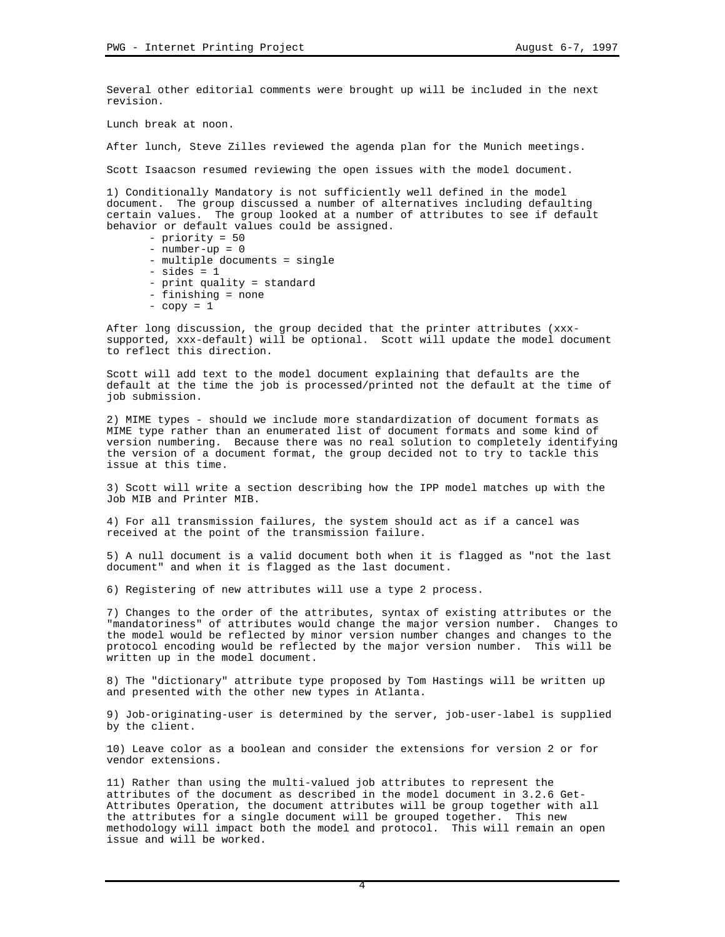Several other editorial comments were brought up will be included in the next revision.

Lunch break at noon.

After lunch, Steve Zilles reviewed the agenda plan for the Munich meetings.

Scott Isaacson resumed reviewing the open issues with the model document.

1) Conditionally Mandatory is not sufficiently well defined in the model document. The group discussed a number of alternatives including defaulting certain values. The group looked at a number of attributes to see if default behavior or default values could be assigned.

- priority = 50
- number-up = 0
- multiple documents = single
- $-$  sides  $= 1$
- print quality = standard
- finishing = none
- $-copy = 1$

After long discussion, the group decided that the printer attributes (xxxsupported, xxx-default) will be optional. Scott will update the model document to reflect this direction.

Scott will add text to the model document explaining that defaults are the default at the time the job is processed/printed not the default at the time of job submission.

2) MIME types - should we include more standardization of document formats as MIME type rather than an enumerated list of document formats and some kind of version numbering. Because there was no real solution to completely identifying the version of a document format, the group decided not to try to tackle this issue at this time.

3) Scott will write a section describing how the IPP model matches up with the Job MIB and Printer MIB.

4) For all transmission failures, the system should act as if a cancel was received at the point of the transmission failure.

5) A null document is a valid document both when it is flagged as "not the last document" and when it is flagged as the last document.

6) Registering of new attributes will use a type 2 process.

7) Changes to the order of the attributes, syntax of existing attributes or the "mandatoriness" of attributes would change the major version number. Changes to the model would be reflected by minor version number changes and changes to the protocol encoding would be reflected by the major version number. This will be written up in the model document.

8) The "dictionary" attribute type proposed by Tom Hastings will be written up and presented with the other new types in Atlanta.

9) Job-originating-user is determined by the server, job-user-label is supplied by the client.

10) Leave color as a boolean and consider the extensions for version 2 or for vendor extensions.

11) Rather than using the multi-valued job attributes to represent the attributes of the document as described in the model document in 3.2.6 Get-Attributes Operation, the document attributes will be group together with all the attributes for a single document will be grouped together. This new methodology will impact both the model and protocol. This will remain an open issue and will be worked.

4